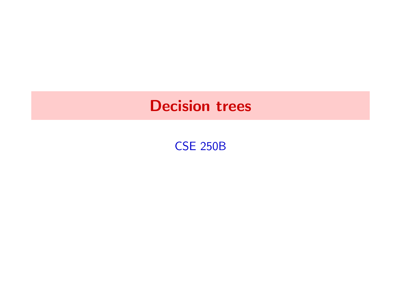CSE 250B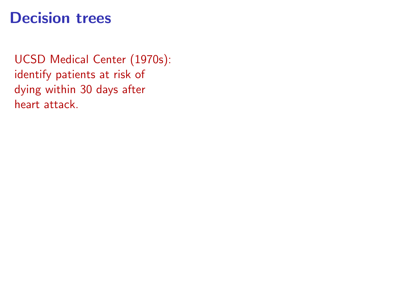UCSD Medical Center (1970s): identify patients at risk of dying within 30 days after heart attack.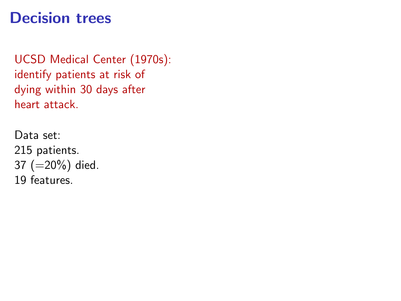UCSD Medical Center (1970s): identify patients at risk of dying within 30 days after heart attack.

Data set: 215 patients. 37 (=20%) died. 19 features.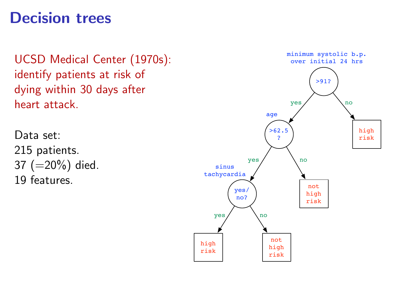UCSD Medical Center (1970s): identify patients at risk of dying within 30 days after heart attack.

Data set: 215 patients. 37 (=20%) died. 19 features.

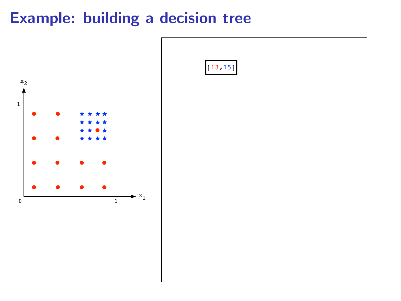

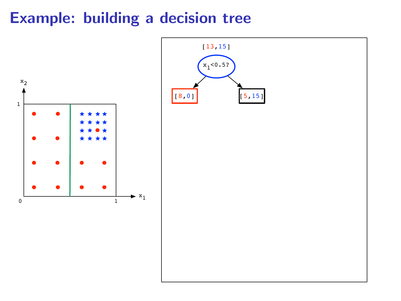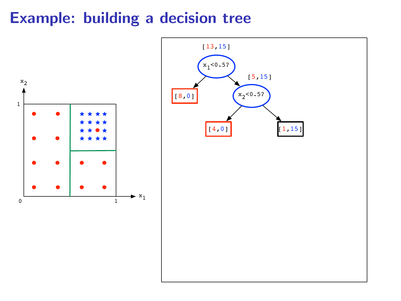

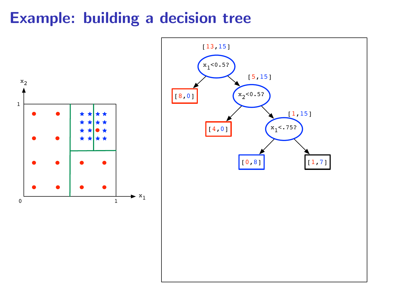

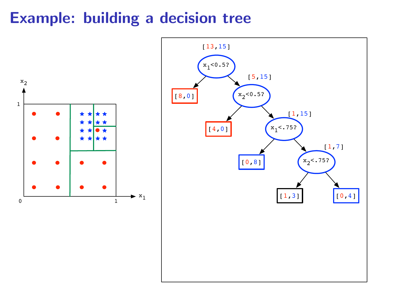

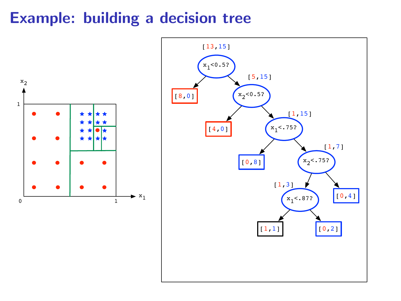

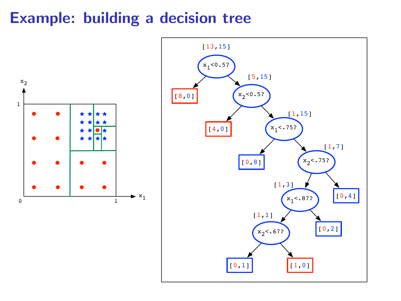

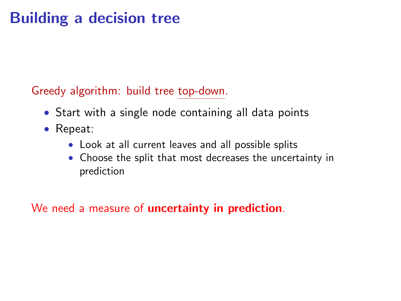Greedy algorithm: build tree top-down.

- Start with a single node containing all data points
- Repeat:
	- Look at all current leaves and all possible splits
	- Choose the split that most decreases the uncertainty in prediction

We need a measure of **uncertainty in prediction**.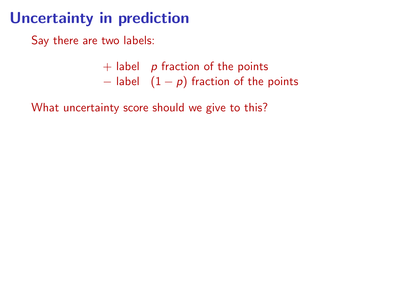# Uncertainty in prediction

Say there are two labels:

- $+$  label p fraction of the points
- $-$  label  $(1 p)$  fraction of the points

What uncertainty score should we give to this?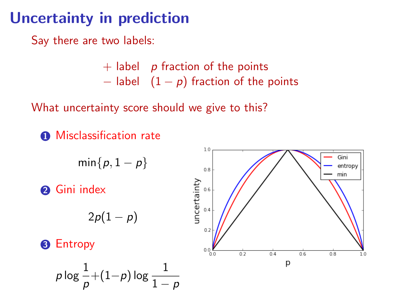# Uncertainty in prediction

Say there are two labels:

- $+$  label p fraction of the points  $-$  label  $(1 - p)$  fraction of the points
- 

What uncertainty score should we give to this?

**1** Misclassification rate

$$
\min\{p,1-p\}
$$

<sup>2</sup> Gini index

$$
2p(1-p)
$$

**8** Entropy

$$
\rho \log \frac{1}{\rho} \! + \! (1 \! - \! \rho) \log \frac{1}{1 - \rho}
$$

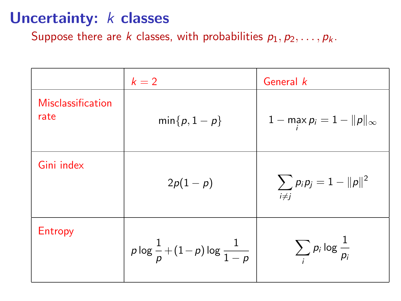## Uncertainty: *k* classes

Suppose there are k classes, with probabilities  $p_1, p_2, \ldots, p_k$ .

|                           | $k=2$                                           | General k                              |
|---------------------------|-------------------------------------------------|----------------------------------------|
| Misclassification<br>rate | $min{p, 1-p}$                                   | $1 - \max p_i = 1 -   p  _{\infty}$    |
| Gini index                | $2p(1-p)$                                       | $\sum_{i\neq j} p_i p_j = 1 -   p  ^2$ |
| Entropy                   | $p \log \frac{1}{p} + (1-p) \log \frac{1}{1-p}$ | $\sum_i p_i \log \frac{1}{p_i}$        |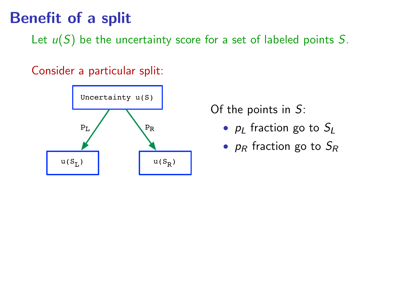# Benefit of a split

Let  $u(S)$  be the uncertainty score for a set of labeled points S.

Consider a particular split:



Of the points in S:

- $p_1$  fraction go to  $S_1$
- $p_R$  fraction go to  $S_R$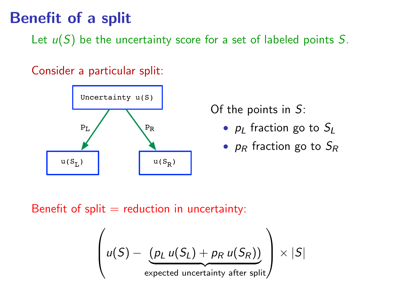# Benefit of a split

Let  $u(S)$  be the uncertainty score for a set of labeled points S.

Consider a particular split:



Of the points in S:

- $p_1$  fraction go to  $S_1$
- $p_R$  fraction go to  $S_R$

Benefit of split  $=$  reduction in uncertainty:

$$
\left(u(S) - \underbrace{(p_L u(S_L) + p_R u(S_R))}_{\text{expected uncertainty after split}}\right) \times |S|
$$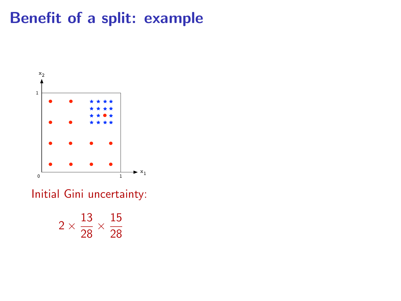# Benefit of a split: example



Initial Gini uncertainty:

$$
2\times\frac{13}{28}\times\frac{15}{28}
$$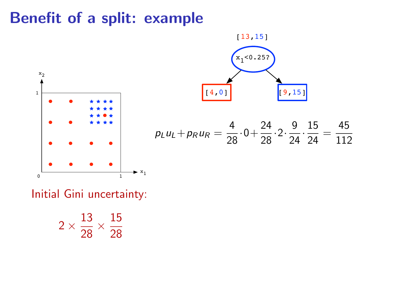## Benefit of a split: example





Initial Gini uncertainty:

$$
2\times\frac{13}{28}\times\frac{15}{28}
$$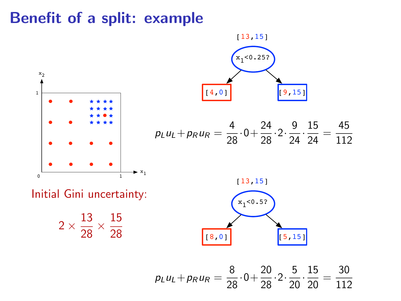### Benefit of a split: example



 $p_L u_L + p_R u_R = \frac{8}{28}$  $\frac{8}{28} \cdot 0 + \frac{20}{28} \cdot 2 \cdot \frac{5}{20}$  $rac{5}{20} \cdot \frac{15}{20}$  $rac{15}{20} = \frac{30}{112}$ 112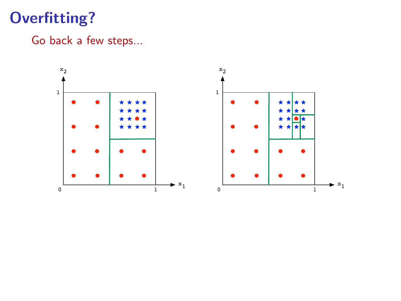# Overfitting?

### Go back a few steps...

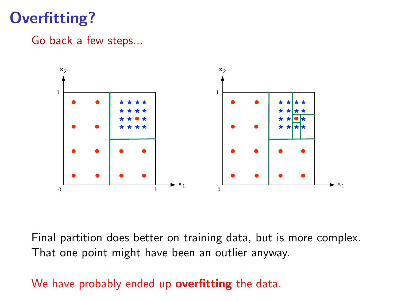# Overfitting?

#### Go back a few steps...



Final partition does better on training data, but is more complex. That one point might have been an outlier anyway.

#### We have probably ended up overfitting the data.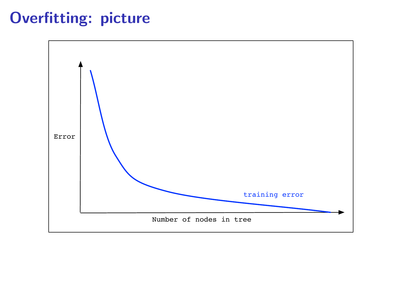# Overfitting: picture

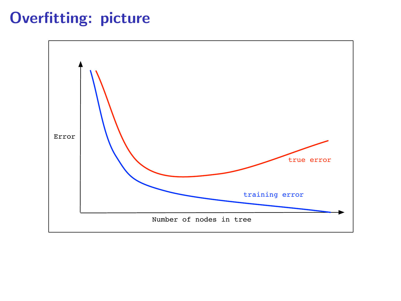# Overfitting: picture

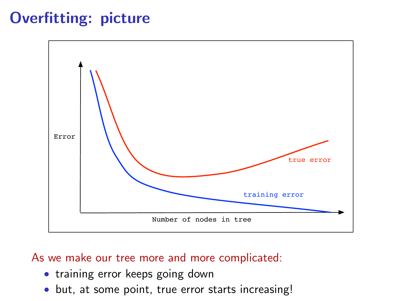# Overfitting: picture



#### As we make our tree more and more complicated:

- training error keeps going down
- but, at some point, true error starts increasing!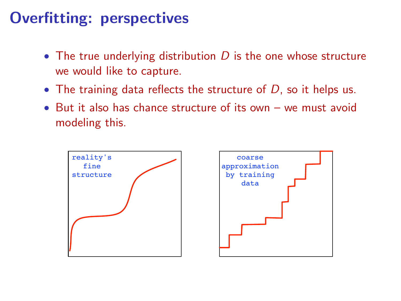# Overfitting: perspectives

- The true underlying distribution  $D$  is the one whose structure we would like to capture.
- The training data reflects the structure of  $D$ , so it helps us.
- But it also has chance structure of its own we must avoid modeling this.



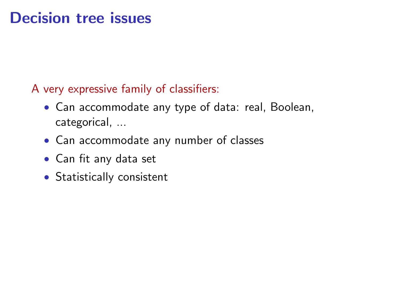## Decision tree issues

### A very expressive family of classifiers:

- Can accommodate any type of data: real, Boolean, categorical, ...
- Can accommodate any number of classes
- Can fit any data set
- Statistically consistent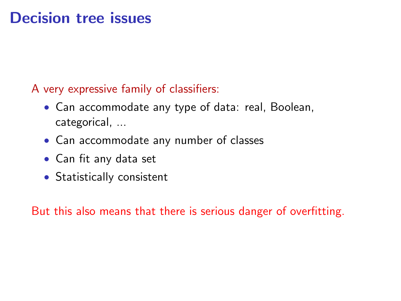## Decision tree issues

### A very expressive family of classifiers:

- Can accommodate any type of data: real, Boolean, categorical, ...
- Can accommodate any number of classes
- Can fit any data set
- Statistically consistent

But this also means that there is serious danger of overfitting.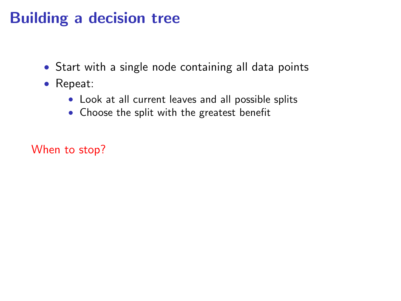- Start with a single node containing all data points
- Repeat:
	- Look at all current leaves and all possible splits
	- Choose the split with the greatest benefit

When to stop?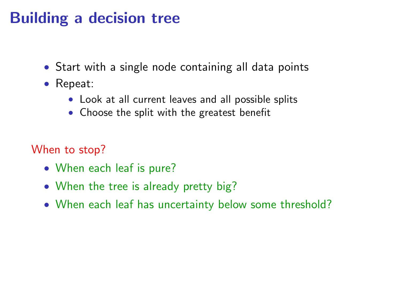- Start with a single node containing all data points
- Repeat:
	- Look at all current leaves and all possible splits
	- Choose the split with the greatest benefit

When to stop?

- When each leaf is pure?
- When the tree is already pretty big?
- When each leaf has uncertainty below some threshold?